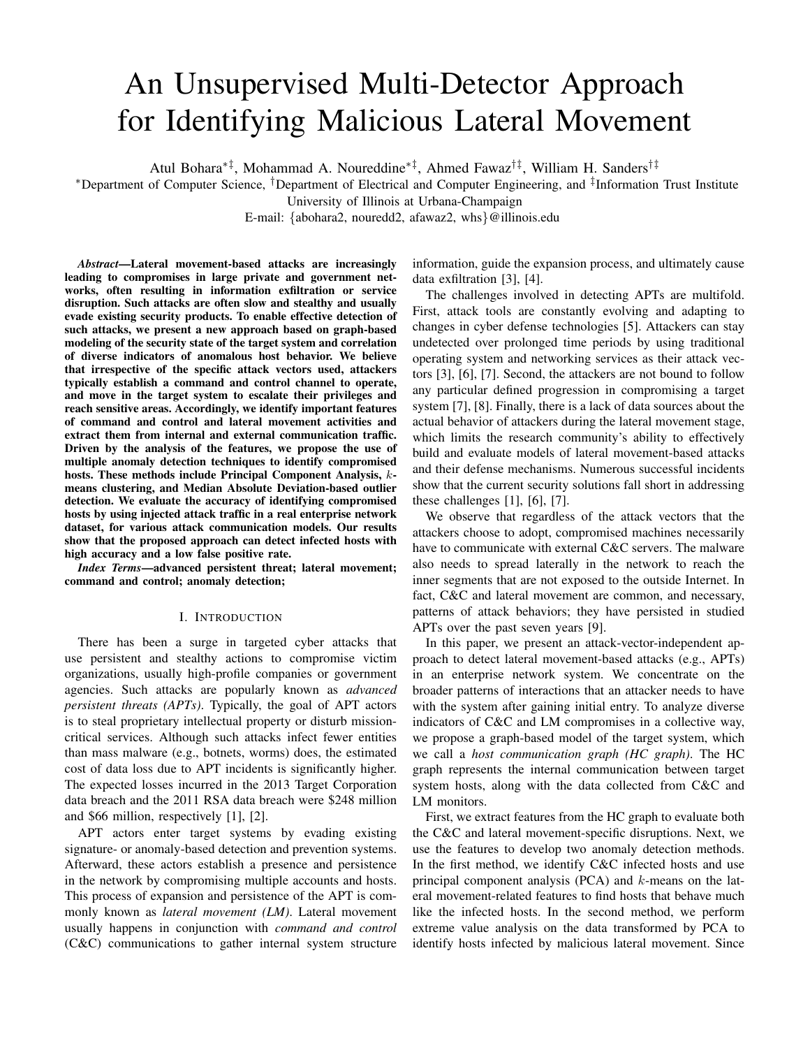# An Unsupervised Multi-Detector Approach for Identifying Malicious Lateral Movement

Atul Bohara∗‡, Mohammad A. Noureddine∗‡, Ahmed Fawaz†‡, William H. Sanders†‡

<sup>∗</sup>Department of Computer Science, †Department of Electrical and Computer Engineering, and ‡ Information Trust Institute

University of Illinois at Urbana-Champaign

E-mail: {abohara2, nouredd2, afawaz2, whs}@illinois.edu

*Abstract*—Lateral movement-based attacks are increasingly leading to compromises in large private and government networks, often resulting in information exfiltration or service disruption. Such attacks are often slow and stealthy and usually evade existing security products. To enable effective detection of such attacks, we present a new approach based on graph-based modeling of the security state of the target system and correlation of diverse indicators of anomalous host behavior. We believe that irrespective of the specific attack vectors used, attackers typically establish a command and control channel to operate, and move in the target system to escalate their privileges and reach sensitive areas. Accordingly, we identify important features of command and control and lateral movement activities and extract them from internal and external communication traffic. Driven by the analysis of the features, we propose the use of multiple anomaly detection techniques to identify compromised hosts. These methods include Principal Component Analysis, kmeans clustering, and Median Absolute Deviation-based outlier detection. We evaluate the accuracy of identifying compromised hosts by using injected attack traffic in a real enterprise network dataset, for various attack communication models. Our results show that the proposed approach can detect infected hosts with high accuracy and a low false positive rate.

*Index Terms*—advanced persistent threat; lateral movement; command and control; anomaly detection;

#### I. INTRODUCTION

There has been a surge in targeted cyber attacks that use persistent and stealthy actions to compromise victim organizations, usually high-profile companies or government agencies. Such attacks are popularly known as *advanced persistent threats (APTs)*. Typically, the goal of APT actors is to steal proprietary intellectual property or disturb missioncritical services. Although such attacks infect fewer entities than mass malware (e.g., botnets, worms) does, the estimated cost of data loss due to APT incidents is significantly higher. The expected losses incurred in the 2013 Target Corporation data breach and the 2011 RSA data breach were \$248 million and \$66 million, respectively [1], [2].

APT actors enter target systems by evading existing signature- or anomaly-based detection and prevention systems. Afterward, these actors establish a presence and persistence in the network by compromising multiple accounts and hosts. This process of expansion and persistence of the APT is commonly known as *lateral movement (LM)*. Lateral movement usually happens in conjunction with *command and control* (C&C) communications to gather internal system structure

information, guide the expansion process, and ultimately cause data exfiltration [3], [4].

The challenges involved in detecting APTs are multifold. First, attack tools are constantly evolving and adapting to changes in cyber defense technologies [5]. Attackers can stay undetected over prolonged time periods by using traditional operating system and networking services as their attack vectors [3], [6], [7]. Second, the attackers are not bound to follow any particular defined progression in compromising a target system [7], [8]. Finally, there is a lack of data sources about the actual behavior of attackers during the lateral movement stage, which limits the research community's ability to effectively build and evaluate models of lateral movement-based attacks and their defense mechanisms. Numerous successful incidents show that the current security solutions fall short in addressing these challenges  $[1]$ ,  $[6]$ ,  $[7]$ .

We observe that regardless of the attack vectors that the attackers choose to adopt, compromised machines necessarily have to communicate with external C&C servers. The malware also needs to spread laterally in the network to reach the inner segments that are not exposed to the outside Internet. In fact, C&C and lateral movement are common, and necessary, patterns of attack behaviors; they have persisted in studied APTs over the past seven years [9].

In this paper, we present an attack-vector-independent approach to detect lateral movement-based attacks (e.g., APTs) in an enterprise network system. We concentrate on the broader patterns of interactions that an attacker needs to have with the system after gaining initial entry. To analyze diverse indicators of C&C and LM compromises in a collective way, we propose a graph-based model of the target system, which we call a *host communication graph (HC graph)*. The HC graph represents the internal communication between target system hosts, along with the data collected from C&C and LM monitors.

First, we extract features from the HC graph to evaluate both the C&C and lateral movement-specific disruptions. Next, we use the features to develop two anomaly detection methods. In the first method, we identify C&C infected hosts and use principal component analysis (PCA) and k-means on the lateral movement-related features to find hosts that behave much like the infected hosts. In the second method, we perform extreme value analysis on the data transformed by PCA to identify hosts infected by malicious lateral movement. Since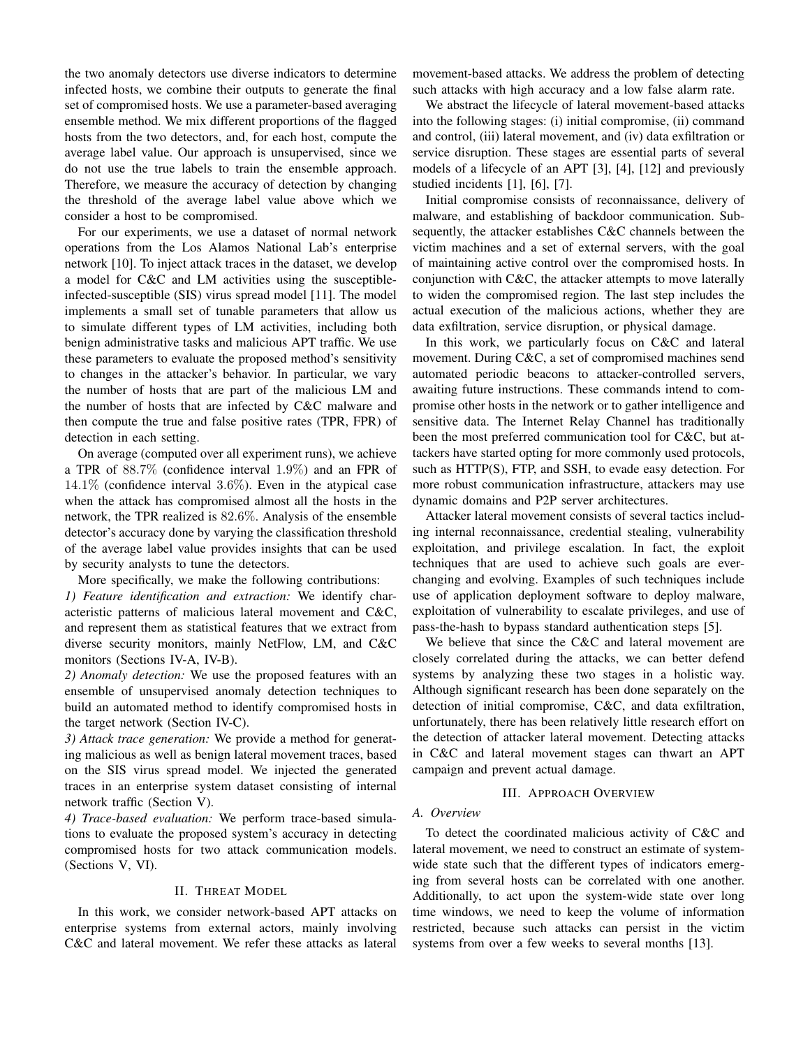the two anomaly detectors use diverse indicators to determine infected hosts, we combine their outputs to generate the final set of compromised hosts. We use a parameter-based averaging ensemble method. We mix different proportions of the flagged hosts from the two detectors, and, for each host, compute the average label value. Our approach is unsupervised, since we do not use the true labels to train the ensemble approach. Therefore, we measure the accuracy of detection by changing the threshold of the average label value above which we consider a host to be compromised.

For our experiments, we use a dataset of normal network operations from the Los Alamos National Lab's enterprise network [10]. To inject attack traces in the dataset, we develop a model for C&C and LM activities using the susceptibleinfected-susceptible (SIS) virus spread model [11]. The model implements a small set of tunable parameters that allow us to simulate different types of LM activities, including both benign administrative tasks and malicious APT traffic. We use these parameters to evaluate the proposed method's sensitivity to changes in the attacker's behavior. In particular, we vary the number of hosts that are part of the malicious LM and the number of hosts that are infected by C&C malware and then compute the true and false positive rates (TPR, FPR) of detection in each setting.

On average (computed over all experiment runs), we achieve a TPR of 88.7% (confidence interval 1.9%) and an FPR of  $14.1\%$  (confidence interval  $3.6\%$ ). Even in the atypical case when the attack has compromised almost all the hosts in the network, the TPR realized is 82.6%. Analysis of the ensemble detector's accuracy done by varying the classification threshold of the average label value provides insights that can be used by security analysts to tune the detectors.

More specifically, we make the following contributions:

*1) Feature identification and extraction:* We identify characteristic patterns of malicious lateral movement and C&C, and represent them as statistical features that we extract from diverse security monitors, mainly NetFlow, LM, and C&C monitors (Sections IV-A, IV-B).

*2) Anomaly detection:* We use the proposed features with an ensemble of unsupervised anomaly detection techniques to build an automated method to identify compromised hosts in the target network (Section IV-C).

*3) Attack trace generation:* We provide a method for generating malicious as well as benign lateral movement traces, based on the SIS virus spread model. We injected the generated traces in an enterprise system dataset consisting of internal network traffic (Section V).

*4) Trace-based evaluation:* We perform trace-based simulations to evaluate the proposed system's accuracy in detecting compromised hosts for two attack communication models. (Sections V, VI).

## II. THREAT MODEL

In this work, we consider network-based APT attacks on enterprise systems from external actors, mainly involving C&C and lateral movement. We refer these attacks as lateral

movement-based attacks. We address the problem of detecting such attacks with high accuracy and a low false alarm rate.

We abstract the lifecycle of lateral movement-based attacks into the following stages: (i) initial compromise, (ii) command and control, (iii) lateral movement, and (iv) data exfiltration or service disruption. These stages are essential parts of several models of a lifecycle of an APT [3], [4], [12] and previously studied incidents [1], [6], [7].

Initial compromise consists of reconnaissance, delivery of malware, and establishing of backdoor communication. Subsequently, the attacker establishes C&C channels between the victim machines and a set of external servers, with the goal of maintaining active control over the compromised hosts. In conjunction with C&C, the attacker attempts to move laterally to widen the compromised region. The last step includes the actual execution of the malicious actions, whether they are data exfiltration, service disruption, or physical damage.

In this work, we particularly focus on C&C and lateral movement. During C&C, a set of compromised machines send automated periodic beacons to attacker-controlled servers, awaiting future instructions. These commands intend to compromise other hosts in the network or to gather intelligence and sensitive data. The Internet Relay Channel has traditionally been the most preferred communication tool for C&C, but attackers have started opting for more commonly used protocols, such as HTTP(S), FTP, and SSH, to evade easy detection. For more robust communication infrastructure, attackers may use dynamic domains and P2P server architectures.

Attacker lateral movement consists of several tactics including internal reconnaissance, credential stealing, vulnerability exploitation, and privilege escalation. In fact, the exploit techniques that are used to achieve such goals are everchanging and evolving. Examples of such techniques include use of application deployment software to deploy malware, exploitation of vulnerability to escalate privileges, and use of pass-the-hash to bypass standard authentication steps [5].

We believe that since the C&C and lateral movement are closely correlated during the attacks, we can better defend systems by analyzing these two stages in a holistic way. Although significant research has been done separately on the detection of initial compromise, C&C, and data exfiltration, unfortunately, there has been relatively little research effort on the detection of attacker lateral movement. Detecting attacks in C&C and lateral movement stages can thwart an APT campaign and prevent actual damage.

## III. APPROACH OVERVIEW

## *A. Overview*

To detect the coordinated malicious activity of C&C and lateral movement, we need to construct an estimate of systemwide state such that the different types of indicators emerging from several hosts can be correlated with one another. Additionally, to act upon the system-wide state over long time windows, we need to keep the volume of information restricted, because such attacks can persist in the victim systems from over a few weeks to several months [13].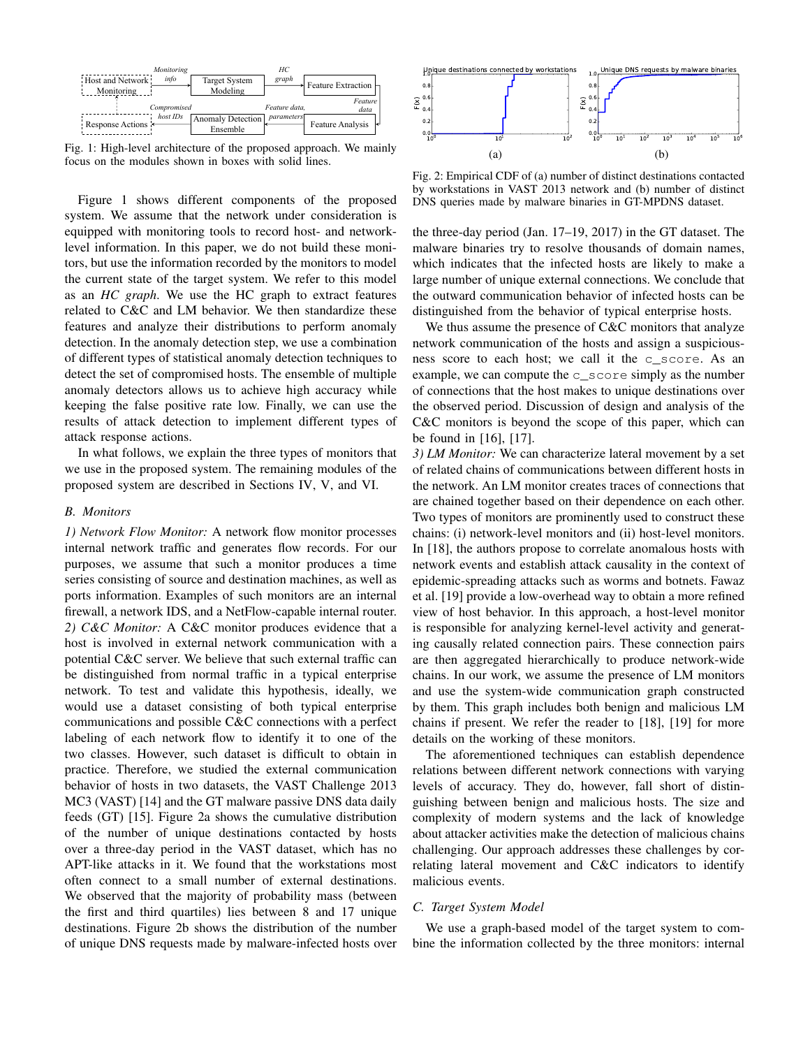| Monitoring                   |                                      | HC            |                                           |
|------------------------------|--------------------------------------|---------------|-------------------------------------------|
| info<br>Host and Network     | <b>Target System</b>                 | graph         | $\rightarrow$ Feature Extraction $\vdash$ |
| Monitoring                   | Modeling                             |               |                                           |
|                              |                                      |               | Feature                                   |
| Compromised                  |                                      | Feature data. | data                                      |
| host IDs<br>Response Actions | <b>Anomaly Detection</b><br>Ensemble | parameters    | Feature Analysis                          |

Fig. 1: High-level architecture of the proposed approach. We mainly focus on the modules shown in boxes with solid lines.

Figure 1 shows different components of the proposed system. We assume that the network under consideration is equipped with monitoring tools to record host- and networklevel information. In this paper, we do not build these monitors, but use the information recorded by the monitors to model the current state of the target system. We refer to this model as an *HC graph*. We use the HC graph to extract features related to C&C and LM behavior. We then standardize these features and analyze their distributions to perform anomaly detection. In the anomaly detection step, we use a combination of different types of statistical anomaly detection techniques to detect the set of compromised hosts. The ensemble of multiple anomaly detectors allows us to achieve high accuracy while keeping the false positive rate low. Finally, we can use the results of attack detection to implement different types of attack response actions.

In what follows, we explain the three types of monitors that we use in the proposed system. The remaining modules of the proposed system are described in Sections IV, V, and VI.

#### *B. Monitors*

*1) Network Flow Monitor:* A network flow monitor processes internal network traffic and generates flow records. For our purposes, we assume that such a monitor produces a time series consisting of source and destination machines, as well as ports information. Examples of such monitors are an internal firewall, a network IDS, and a NetFlow-capable internal router. *2) C&C Monitor:* A C&C monitor produces evidence that a host is involved in external network communication with a potential C&C server. We believe that such external traffic can be distinguished from normal traffic in a typical enterprise network. To test and validate this hypothesis, ideally, we would use a dataset consisting of both typical enterprise communications and possible C&C connections with a perfect labeling of each network flow to identify it to one of the two classes. However, such dataset is difficult to obtain in practice. Therefore, we studied the external communication behavior of hosts in two datasets, the VAST Challenge 2013 MC3 (VAST) [14] and the GT malware passive DNS data daily feeds (GT) [15]. Figure 2a shows the cumulative distribution of the number of unique destinations contacted by hosts over a three-day period in the VAST dataset, which has no APT-like attacks in it. We found that the workstations most often connect to a small number of external destinations. We observed that the majority of probability mass (between the first and third quartiles) lies between 8 and 17 unique destinations. Figure 2b shows the distribution of the number of unique DNS requests made by malware-infected hosts over



Fig. 2: Empirical CDF of (a) number of distinct destinations contacted by workstations in VAST 2013 network and (b) number of distinct DNS queries made by malware binaries in GT-MPDNS dataset.

the three-day period (Jan. 17–19, 2017) in the GT dataset. The malware binaries try to resolve thousands of domain names, which indicates that the infected hosts are likely to make a large number of unique external connections. We conclude that the outward communication behavior of infected hosts can be distinguished from the behavior of typical enterprise hosts.

We thus assume the presence of C&C monitors that analyze network communication of the hosts and assign a suspiciousness score to each host; we call it the c\_score. As an example, we can compute the c\_score simply as the number of connections that the host makes to unique destinations over the observed period. Discussion of design and analysis of the C&C monitors is beyond the scope of this paper, which can be found in [16], [17].

*3) LM Monitor:* We can characterize lateral movement by a set of related chains of communications between different hosts in the network. An LM monitor creates traces of connections that are chained together based on their dependence on each other. Two types of monitors are prominently used to construct these chains: (i) network-level monitors and (ii) host-level monitors. In [18], the authors propose to correlate anomalous hosts with network events and establish attack causality in the context of epidemic-spreading attacks such as worms and botnets. Fawaz et al. [19] provide a low-overhead way to obtain a more refined view of host behavior. In this approach, a host-level monitor is responsible for analyzing kernel-level activity and generating causally related connection pairs. These connection pairs are then aggregated hierarchically to produce network-wide chains. In our work, we assume the presence of LM monitors and use the system-wide communication graph constructed by them. This graph includes both benign and malicious LM chains if present. We refer the reader to [18], [19] for more details on the working of these monitors.

The aforementioned techniques can establish dependence relations between different network connections with varying levels of accuracy. They do, however, fall short of distinguishing between benign and malicious hosts. The size and complexity of modern systems and the lack of knowledge about attacker activities make the detection of malicious chains challenging. Our approach addresses these challenges by correlating lateral movement and C&C indicators to identify malicious events.

## *C. Target System Model*

We use a graph-based model of the target system to combine the information collected by the three monitors: internal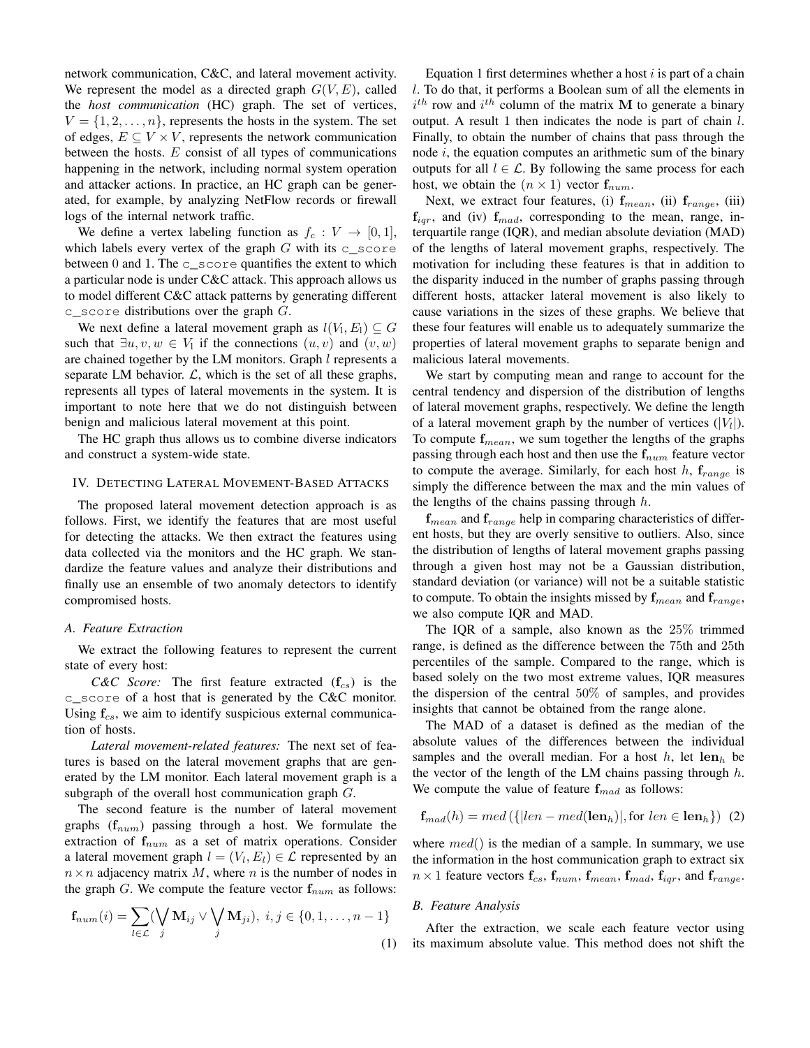network communication, C&C, and lateral movement activity. We represent the model as a directed graph  $G(V, E)$ , called the *host communication* (HC) graph. The set of vertices,  $V = \{1, 2, \ldots, n\}$ , represents the hosts in the system. The set of edges,  $E \subseteq V \times V$ , represents the network communication between the hosts.  $E$  consist of all types of communications happening in the network, including normal system operation and attacker actions. In practice, an HC graph can be generated, for example, by analyzing NetFlow records or firewall logs of the internal network traffic.

We define a vertex labeling function as  $f_c: V \rightarrow [0, 1]$ , which labels every vertex of the graph  $G$  with its c\_score between  $0$  and  $1$ . The c\_score quantifies the extent to which a particular node is under C&C attack. This approach allows us to model different C&C attack patterns by generating different  $c$ \_score distributions over the graph  $G$ .

We next define a lateral movement graph as  $l(V_1, E_1) \subseteq G$ such that  $\exists u, v, w \in V_1$  if the connections  $(u, v)$  and  $(v, w)$ are chained together by the LM monitors. Graph l represents a separate LM behavior.  $\mathcal{L}$ , which is the set of all these graphs, represents all types of lateral movements in the system. It is important to note here that we do not distinguish between benign and malicious lateral movement at this point.

The HC graph thus allows us to combine diverse indicators and construct a system-wide state.

## IV. DETECTING LATERAL MOVEMENT-BASED ATTACKS

The proposed lateral movement detection approach is as follows. First, we identify the features that are most useful for detecting the attacks. We then extract the features using data collected via the monitors and the HC graph. We standardize the feature values and analyze their distributions and finally use an ensemble of two anomaly detectors to identify compromised hosts.

#### *A. Feature Extraction*

We extract the following features to represent the current state of every host:

*C&C Score:* The first feature extracted  $(f_{cs})$  is the c\_score of a host that is generated by the C&C monitor. Using  $f_{cs}$ , we aim to identify suspicious external communication of hosts.

*Lateral movement-related features:* The next set of features is based on the lateral movement graphs that are generated by the LM monitor. Each lateral movement graph is a subgraph of the overall host communication graph G.

The second feature is the number of lateral movement graphs  $(f_{num})$  passing through a host. We formulate the extraction of  $f_{num}$  as a set of matrix operations. Consider a lateral movement graph  $l = (V_l, E_l) \in \mathcal{L}$  represented by an  $n \times n$  adjacency matrix M, where n is the number of nodes in the graph G. We compute the feature vector  $f_{num}$  as follows:

$$
\mathbf{f}_{num}(i) = \sum_{l \in \mathcal{L}} (\bigvee_j \mathbf{M}_{ij} \vee \bigvee_j \mathbf{M}_{ji}), \ i, j \in \{0, 1, \dots, n - 1\}
$$
\n(1)

Equation 1 first determines whether a host  $i$  is part of a chain l. To do that, it performs a Boolean sum of all the elements in  $i^{th}$  row and  $i^{th}$  column of the matrix M to generate a binary output. A result 1 then indicates the node is part of chain l. Finally, to obtain the number of chains that pass through the node  $i$ , the equation computes an arithmetic sum of the binary outputs for all  $l \in \mathcal{L}$ . By following the same process for each host, we obtain the  $(n \times 1)$  vector  $f_{num}$ .

Next, we extract four features, (i)  $f_{mean}$ , (ii)  $f_{range}$ , (iii)  $f_{iqr}$ , and (iv)  $f_{mad}$ , corresponding to the mean, range, interquartile range (IQR), and median absolute deviation (MAD) of the lengths of lateral movement graphs, respectively. The motivation for including these features is that in addition to the disparity induced in the number of graphs passing through different hosts, attacker lateral movement is also likely to cause variations in the sizes of these graphs. We believe that these four features will enable us to adequately summarize the properties of lateral movement graphs to separate benign and malicious lateral movements.

We start by computing mean and range to account for the central tendency and dispersion of the distribution of lengths of lateral movement graphs, respectively. We define the length of a lateral movement graph by the number of vertices  $(|V_l|)$ . To compute  $f_{mean}$ , we sum together the lengths of the graphs passing through each host and then use the  $f_{num}$  feature vector to compute the average. Similarly, for each host h,  $f_{range}$  is simply the difference between the max and the min values of the lengths of the chains passing through  $h$ .

 $f_{mean}$  and  $f_{range}$  help in comparing characteristics of different hosts, but they are overly sensitive to outliers. Also, since the distribution of lengths of lateral movement graphs passing through a given host may not be a Gaussian distribution, standard deviation (or variance) will not be a suitable statistic to compute. To obtain the insights missed by  $f_{mean}$  and  $f_{range}$ , we also compute IQR and MAD.

The IQR of a sample, also known as the 25% trimmed range, is defined as the difference between the 75th and 25th percentiles of the sample. Compared to the range, which is based solely on the two most extreme values, IQR measures the dispersion of the central 50% of samples, and provides insights that cannot be obtained from the range alone.

The MAD of a dataset is defined as the median of the absolute values of the differences between the individual samples and the overall median. For a host h, let  $len_h$  be the vector of the length of the LM chains passing through  $h$ . We compute the value of feature  $f_{mad}$  as follows:

$$
\mathbf{f}_{mad}(h) = med(\{|len - med(\mathbf{len}_h)|, \text{for len} \in \mathbf{len}_h\}) \tag{2}
$$

where  $med()$  is the median of a sample. In summary, we use the information in the host communication graph to extract six  $n \times 1$  feature vectors  $\mathbf{f}_{cs}$ ,  $\mathbf{f}_{num}$ ,  $\mathbf{f}_{mean}$ ,  $\mathbf{f}_{mad}$ ,  $\mathbf{f}_{igr}$ , and  $\mathbf{f}_{range}$ .

#### *B. Feature Analysis*

After the extraction, we scale each feature vector using its maximum absolute value. This method does not shift the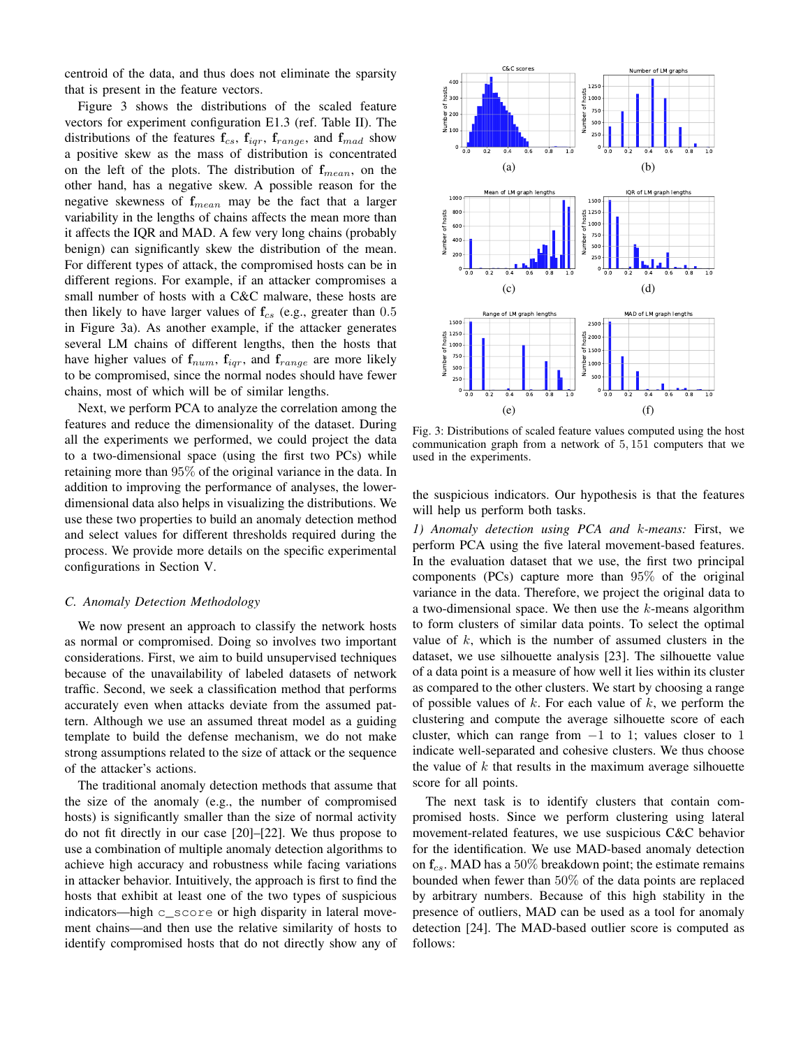centroid of the data, and thus does not eliminate the sparsity that is present in the feature vectors.

Figure 3 shows the distributions of the scaled feature vectors for experiment configuration E1.3 (ref. Table II). The distributions of the features  $f_{cs}$ ,  $f_{iqr}$ ,  $f_{range}$ , and  $f_{mad}$  show a positive skew as the mass of distribution is concentrated on the left of the plots. The distribution of  $f_{mean}$ , on the other hand, has a negative skew. A possible reason for the negative skewness of  $f_{mean}$  may be the fact that a larger variability in the lengths of chains affects the mean more than it affects the IQR and MAD. A few very long chains (probably benign) can significantly skew the distribution of the mean. For different types of attack, the compromised hosts can be in different regions. For example, if an attacker compromises a small number of hosts with a C&C malware, these hosts are then likely to have larger values of  $f_{cs}$  (e.g., greater than 0.5 in Figure 3a). As another example, if the attacker generates several LM chains of different lengths, then the hosts that have higher values of  $f_{num}$ ,  $f_{iqr}$ , and  $f_{range}$  are more likely to be compromised, since the normal nodes should have fewer chains, most of which will be of similar lengths.

Next, we perform PCA to analyze the correlation among the features and reduce the dimensionality of the dataset. During all the experiments we performed, we could project the data to a two-dimensional space (using the first two PCs) while retaining more than 95% of the original variance in the data. In addition to improving the performance of analyses, the lowerdimensional data also helps in visualizing the distributions. We use these two properties to build an anomaly detection method and select values for different thresholds required during the process. We provide more details on the specific experimental configurations in Section V.

#### *C. Anomaly Detection Methodology*

We now present an approach to classify the network hosts as normal or compromised. Doing so involves two important considerations. First, we aim to build unsupervised techniques because of the unavailability of labeled datasets of network traffic. Second, we seek a classification method that performs accurately even when attacks deviate from the assumed pattern. Although we use an assumed threat model as a guiding template to build the defense mechanism, we do not make strong assumptions related to the size of attack or the sequence of the attacker's actions.

The traditional anomaly detection methods that assume that the size of the anomaly (e.g., the number of compromised hosts) is significantly smaller than the size of normal activity do not fit directly in our case [20]–[22]. We thus propose to use a combination of multiple anomaly detection algorithms to achieve high accuracy and robustness while facing variations in attacker behavior. Intuitively, the approach is first to find the hosts that exhibit at least one of the two types of suspicious indicators—high c\_score or high disparity in lateral movement chains—and then use the relative similarity of hosts to identify compromised hosts that do not directly show any of



Fig. 3: Distributions of scaled feature values computed using the host communication graph from a network of 5, 151 computers that we used in the experiments.

the suspicious indicators. Our hypothesis is that the features will help us perform both tasks.

*1) Anomaly detection using PCA and* k*-means:* First, we perform PCA using the five lateral movement-based features. In the evaluation dataset that we use, the first two principal components (PCs) capture more than 95% of the original variance in the data. Therefore, we project the original data to a two-dimensional space. We then use the  $k$ -means algorithm to form clusters of similar data points. To select the optimal value of  $k$ , which is the number of assumed clusters in the dataset, we use silhouette analysis [23]. The silhouette value of a data point is a measure of how well it lies within its cluster as compared to the other clusters. We start by choosing a range of possible values of  $k$ . For each value of  $k$ , we perform the clustering and compute the average silhouette score of each cluster, which can range from  $-1$  to 1; values closer to 1 indicate well-separated and cohesive clusters. We thus choose the value of  $k$  that results in the maximum average silhouette score for all points.

The next task is to identify clusters that contain compromised hosts. Since we perform clustering using lateral movement-related features, we use suspicious C&C behavior for the identification. We use MAD-based anomaly detection on  $f_{cs}$ . MAD has a 50% breakdown point; the estimate remains bounded when fewer than 50% of the data points are replaced by arbitrary numbers. Because of this high stability in the presence of outliers, MAD can be used as a tool for anomaly detection [24]. The MAD-based outlier score is computed as follows: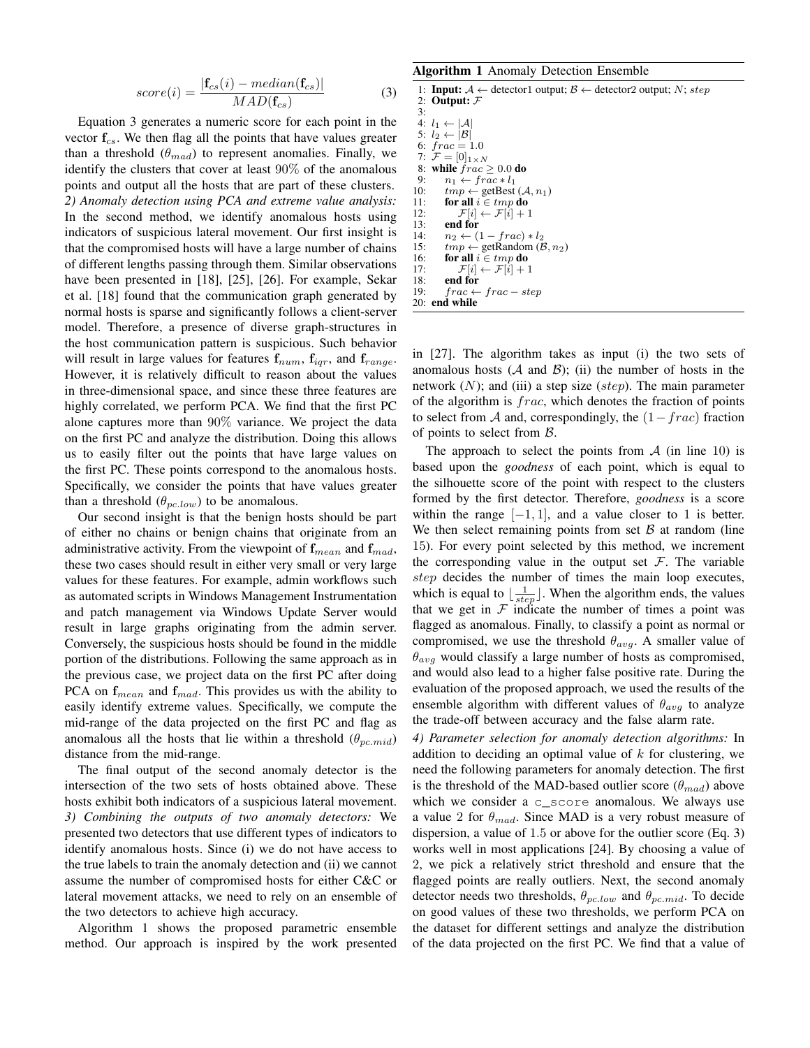$$
score(i) = \frac{|\mathbf{f}_{cs}(i) - median(\mathbf{f}_{cs})|}{MAD(\mathbf{f}_{cs})}
$$
(3)

Equation 3 generates a numeric score for each point in the vector  $f_{cs}$ . We then flag all the points that have values greater than a threshold  $(\theta_{mad})$  to represent anomalies. Finally, we identify the clusters that cover at least 90% of the anomalous points and output all the hosts that are part of these clusters. *2) Anomaly detection using PCA and extreme value analysis:* In the second method, we identify anomalous hosts using indicators of suspicious lateral movement. Our first insight is that the compromised hosts will have a large number of chains of different lengths passing through them. Similar observations have been presented in [18], [25], [26]. For example, Sekar et al. [18] found that the communication graph generated by normal hosts is sparse and significantly follows a client-server model. Therefore, a presence of diverse graph-structures in the host communication pattern is suspicious. Such behavior will result in large values for features  $f_{num}$ ,  $f_{iqr}$ , and  $f_{range}$ . However, it is relatively difficult to reason about the values in three-dimensional space, and since these three features are highly correlated, we perform PCA. We find that the first PC alone captures more than 90% variance. We project the data on the first PC and analyze the distribution. Doing this allows us to easily filter out the points that have large values on the first PC. These points correspond to the anomalous hosts. Specifically, we consider the points that have values greater than a threshold  $(\theta_{pc,low})$  to be anomalous.

Our second insight is that the benign hosts should be part of either no chains or benign chains that originate from an administrative activity. From the viewpoint of  $f_{mean}$  and  $f_{mad}$ , these two cases should result in either very small or very large values for these features. For example, admin workflows such as automated scripts in Windows Management Instrumentation and patch management via Windows Update Server would result in large graphs originating from the admin server. Conversely, the suspicious hosts should be found in the middle portion of the distributions. Following the same approach as in the previous case, we project data on the first PC after doing PCA on  $f_{mean}$  and  $f_{mad}$ . This provides us with the ability to easily identify extreme values. Specifically, we compute the mid-range of the data projected on the first PC and flag as anomalous all the hosts that lie within a threshold  $(\theta_{pc,mid})$ distance from the mid-range.

The final output of the second anomaly detector is the intersection of the two sets of hosts obtained above. These hosts exhibit both indicators of a suspicious lateral movement. *3) Combining the outputs of two anomaly detectors:* We presented two detectors that use different types of indicators to identify anomalous hosts. Since (i) we do not have access to the true labels to train the anomaly detection and (ii) we cannot assume the number of compromised hosts for either C&C or lateral movement attacks, we need to rely on an ensemble of the two detectors to achieve high accuracy.

Algorithm 1 shows the proposed parametric ensemble method. Our approach is inspired by the work presented

Algorithm 1 Anomaly Detection Ensemble

|                     | 1: <b>Input:</b> $A \leftarrow$ detector1 output; $B \leftarrow$ detector2 output; N; step |
|---------------------|--------------------------------------------------------------------------------------------|
|                     | 2: Output: $F$                                                                             |
|                     |                                                                                            |
| $\lambda$ $\lambda$ |                                                                                            |

4:  $l_1 \leftarrow |\mathcal{A}|$ 5:  $l_2 \leftarrow |\mathcal{B}|$ 6:  $frac = 1.0$ <br>7:  $\mathcal{F} = [0]_{1 \times N}$ 7:  $\mathcal{F} = [0]_{1 \times N}$ <br>8: while  $frac \geq 0.0$  do 9:  $n_1 \leftarrow frac* l_1$ <br>10:  $tmp \leftarrow getBest$ 10:  $tmp \leftarrow \text{getBest}(\mathcal{A}, n_1)$ 11: for all  $i \in tmp$  do 12:  $\mathcal{F}[i] \leftarrow \mathcal{F}[i] + 1$ 13: end for 14:  $n_2 \leftarrow (1 - frac) * l_2$ <br>15:  $tmp \leftarrow getRandom (\mathcal{B})$ 15:  $tmp \leftarrow \text{getRandom} (\mathcal{B}, n_2)$ <br>16: **for all**  $i \in tmp$  **do** 16: **for all**  $i \in \text{tmp do}$ <br>17:  $\mathcal{F}[i] \leftarrow \mathcal{F}[i] + 1$ 17:  $\mathcal{F}[i] \leftarrow \mathcal{F}[i] + 1$ <br>18: **end for** end for 19:  $frac \leftarrow frac - step$ 20: end while

in [27]. The algorithm takes as input (i) the two sets of anomalous hosts  $(A \text{ and } B)$ ; (ii) the number of hosts in the network  $(N)$ ; and (iii) a step size (step). The main parameter of the algorithm is frac, which denotes the fraction of points to select from A and, correspondingly, the  $(1 - frac)$  fraction of points to select from B.

The approach to select the points from  $A$  (in line 10) is based upon the *goodness* of each point, which is equal to the silhouette score of the point with respect to the clusters formed by the first detector. Therefore, *goodness* is a score within the range  $[-1, 1]$ , and a value closer to 1 is better. We then select remaining points from set  $\beta$  at random (line 15). For every point selected by this method, we increment the corresponding value in the output set  $\mathcal F$ . The variable step decides the number of times the main loop executes, which is equal to  $\lfloor \frac{1}{step} \rfloor$ . When the algorithm ends, the values that we get in  $F$  indicate the number of times a point was flagged as anomalous. Finally, to classify a point as normal or compromised, we use the threshold  $\theta_{avg}$ . A smaller value of  $\theta_{avg}$  would classify a large number of hosts as compromised, and would also lead to a higher false positive rate. During the evaluation of the proposed approach, we used the results of the ensemble algorithm with different values of  $\theta_{avg}$  to analyze the trade-off between accuracy and the false alarm rate.

*4) Parameter selection for anomaly detection algorithms:* In addition to deciding an optimal value of  $k$  for clustering, we need the following parameters for anomaly detection. The first is the threshold of the MAD-based outlier score  $(\theta_{mad})$  above which we consider a c\_score anomalous. We always use a value 2 for  $\theta_{mad}$ . Since MAD is a very robust measure of dispersion, a value of 1.5 or above for the outlier score (Eq. 3) works well in most applications [24]. By choosing a value of 2, we pick a relatively strict threshold and ensure that the flagged points are really outliers. Next, the second anomaly detector needs two thresholds,  $\theta_{nc,low}$  and  $\theta_{nc,mid}$ . To decide on good values of these two thresholds, we perform PCA on the dataset for different settings and analyze the distribution of the data projected on the first PC. We find that a value of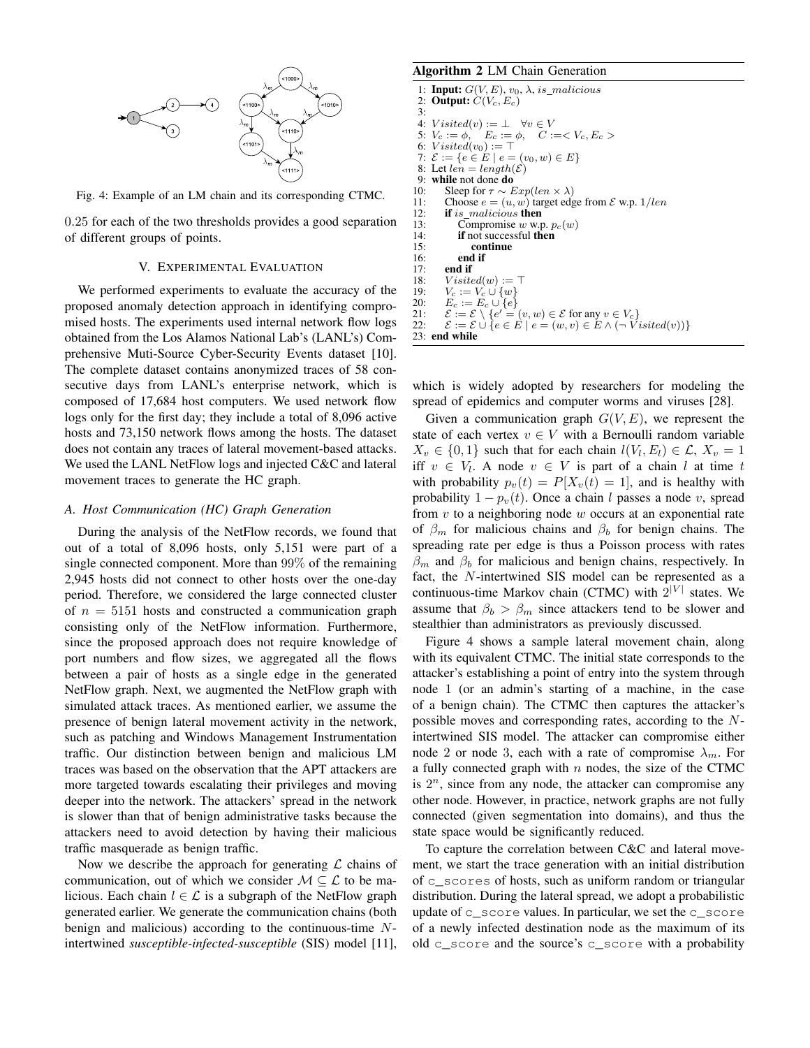

Fig. 4: Example of an LM chain and its corresponding CTMC.

0.25 for each of the two thresholds provides a good separation of different groups of points.

## V. EXPERIMENTAL EVALUATION

We performed experiments to evaluate the accuracy of the proposed anomaly detection approach in identifying compromised hosts. The experiments used internal network flow logs obtained from the Los Alamos National Lab's (LANL's) Comprehensive Muti-Source Cyber-Security Events dataset [10]. The complete dataset contains anonymized traces of 58 consecutive days from LANL's enterprise network, which is composed of 17,684 host computers. We used network flow logs only for the first day; they include a total of 8,096 active hosts and 73,150 network flows among the hosts. The dataset does not contain any traces of lateral movement-based attacks. We used the LANL NetFlow logs and injected C&C and lateral movement traces to generate the HC graph.

#### *A. Host Communication (HC) Graph Generation*

During the analysis of the NetFlow records, we found that out of a total of 8,096 hosts, only 5,151 were part of a single connected component. More than 99% of the remaining 2,945 hosts did not connect to other hosts over the one-day period. Therefore, we considered the large connected cluster of  $n = 5151$  hosts and constructed a communication graph consisting only of the NetFlow information. Furthermore, since the proposed approach does not require knowledge of port numbers and flow sizes, we aggregated all the flows between a pair of hosts as a single edge in the generated NetFlow graph. Next, we augmented the NetFlow graph with simulated attack traces. As mentioned earlier, we assume the presence of benign lateral movement activity in the network, such as patching and Windows Management Instrumentation traffic. Our distinction between benign and malicious LM traces was based on the observation that the APT attackers are more targeted towards escalating their privileges and moving deeper into the network. The attackers' spread in the network is slower than that of benign administrative tasks because the attackers need to avoid detection by having their malicious traffic masquerade as benign traffic.

Now we describe the approach for generating  $\mathcal L$  chains of communication, out of which we consider  $M \subseteq \mathcal{L}$  to be malicious. Each chain  $l \in \mathcal{L}$  is a subgraph of the NetFlow graph generated earlier. We generate the communication chains (both benign and malicious) according to the continuous-time Nintertwined *susceptible-infected-susceptible* (SIS) model [11],

# Algorithm 2 LM Chain Generation

```
1: Input: G(V, E), v_0, \lambda, is_malicious<br>2: Output: C(V_c, E_c)Output: C(V_c, E_c)3:4:4: V \text{ isited}(v) := \perp \forall v \in V<br>5: V_c := \phi. E_c := \phi. C:=
  5: V_c := \phi, E_c := \phi, C := < V_c, E_c ><br>6: Visted(v_0) := \top6: Visted(v_0) := \top<br>7: \mathcal{E} := \{e \in E \mid e =7: \mathcal{E} := \{e \in E \mid e = (v_0, w) \in E\}<br>8: Let len = lenath(\mathcal{E})8: Let len = length(\mathcal{E})<br>9. while not done do
9: while not done do<br>10: Sleep for \tau \sim h10: Sleep for \tau \sim Exp(len \times \lambda)<br>11: Choose e = (u, w) target edg
11: Choose e = (u, w) target edge from \mathcal E w.p. 1/len<br>12: if is malicious then
12: if is malicious then<br>13: Compromise w w.r.
                  Compromise w w.p. p_c(w)14: if not successful then<br>15: continue
                       continue
16: end if 17: end if
17: end if<br>18: Visite18: V \text{ isited}(w) := \top<br>19: V_x := V_x + \{w\}19: V_c := V_c \cup \{w\}<br>20: E_c := E_c \cup \{e\}20: E_c := E_c \cup \{e\}21: \mathcal{E} := \mathcal{E} \setminus \{e' = (v, w) \in \mathcal{E} \text{ for any } v \in V_c\}22: \mathcal{E} := \mathcal{E} \cup \{e \in E \mid e = (w, v) \in E \land (\neg \textit{Visited}(v))\}23: end while
```
which is widely adopted by researchers for modeling the spread of epidemics and computer worms and viruses [28].

Given a communication graph  $G(V, E)$ , we represent the state of each vertex  $v \in V$  with a Bernoulli random variable  $X_v \in \{0, 1\}$  such that for each chain  $l(V_l, E_l) \in \mathcal{L}$ ,  $X_v = 1$ iff  $v \in V_l$ . A node  $v \in V$  is part of a chain l at time t with probability  $p_v(t) = P[X_v(t) = 1]$ , and is healthy with probability  $1 - p_v(t)$ . Once a chain l passes a node v, spread from  $v$  to a neighboring node  $w$  occurs at an exponential rate of  $\beta_m$  for malicious chains and  $\beta_b$  for benign chains. The spreading rate per edge is thus a Poisson process with rates  $\beta_m$  and  $\beta_b$  for malicious and benign chains, respectively. In fact, the N-intertwined SIS model can be represented as a continuous-time Markov chain (CTMC) with  $2^{|V|}$  states. We assume that  $\beta_b > \beta_m$  since attackers tend to be slower and stealthier than administrators as previously discussed.

Figure 4 shows a sample lateral movement chain, along with its equivalent CTMC. The initial state corresponds to the attacker's establishing a point of entry into the system through node 1 (or an admin's starting of a machine, in the case of a benign chain). The CTMC then captures the attacker's possible moves and corresponding rates, according to the Nintertwined SIS model. The attacker can compromise either node 2 or node 3, each with a rate of compromise  $\lambda_m$ . For a fully connected graph with  $n$  nodes, the size of the CTMC is  $2<sup>n</sup>$ , since from any node, the attacker can compromise any other node. However, in practice, network graphs are not fully connected (given segmentation into domains), and thus the state space would be significantly reduced.

To capture the correlation between C&C and lateral movement, we start the trace generation with an initial distribution of c\_scores of hosts, such as uniform random or triangular distribution. During the lateral spread, we adopt a probabilistic update of  $\epsilon$  score values. In particular, we set the  $\epsilon$  score of a newly infected destination node as the maximum of its old c\_score and the source's c\_score with a probability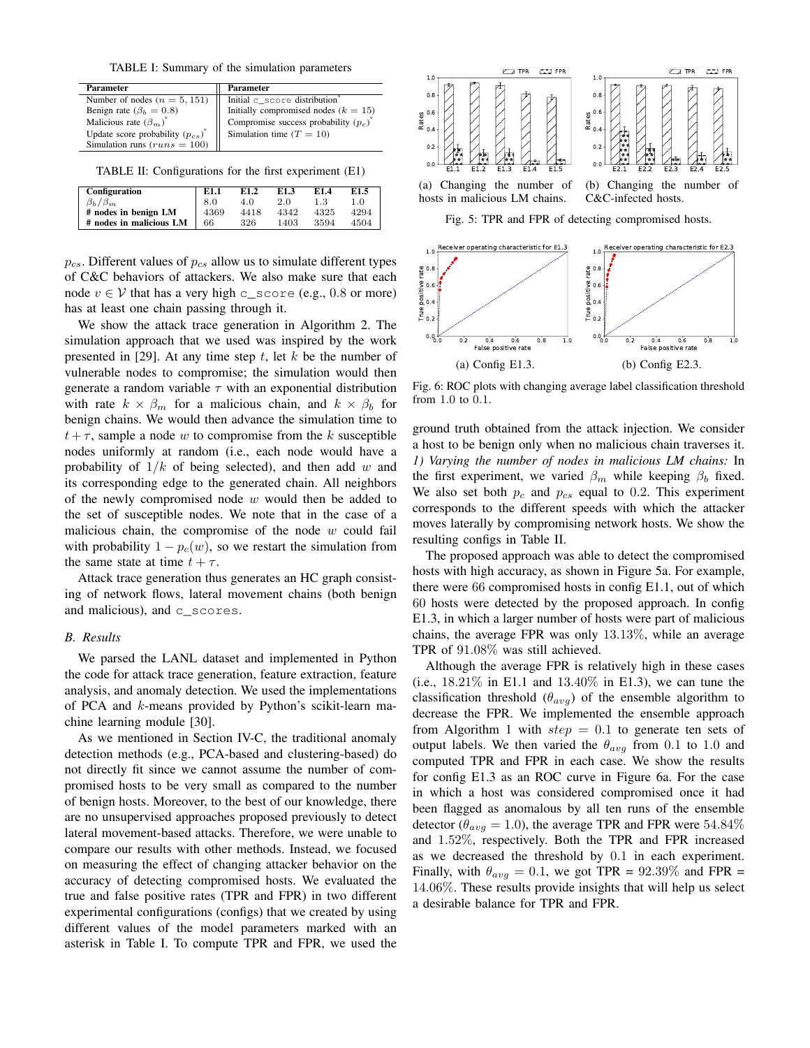TABLE I: Summary of the simulation parameters

| Parameter                             | <b>Parameter</b>                         |
|---------------------------------------|------------------------------------------|
| Number of nodes $(n = 5, 151)$        | Initial c score distribution             |
| Benign rate ( $\beta_b = 0.8$ )       | Initially compromised nodes $(k = 15)$   |
| Malicious rate $(\beta_m)^*$          | Compromise success probability $(p_c)^*$ |
| Update score probability $(p_{cs})^*$ | Simulation time $(T = 10)$               |
| Simulation runs $(runs = 100)$        |                                          |

TABLE II: Configurations for the first experiment (E1)

| <b>Configuration</b>    | E1.1 | E <sub>1.2</sub> | E1.3 | E1.4 | E1.5 |
|-------------------------|------|------------------|------|------|------|
| $\beta_b/\beta_m$       | 8.0  | 4.0              | 2.0  | 1.3  | 1.0  |
| # nodes in benign LM    | 4369 | 4418             | 4342 | 4325 | 4294 |
| # nodes in malicious LM | 66   | 326              | 1403 | 3594 | 4504 |

 $p_{cs}$ . Different values of  $p_{cs}$  allow us to simulate different types of C&C behaviors of attackers. We also make sure that each node  $v \in V$  that has a very high c\_score (e.g., 0.8 or more) has at least one chain passing through it.

We show the attack trace generation in Algorithm 2. The simulation approach that we used was inspired by the work presented in [29]. At any time step  $t$ , let  $k$  be the number of vulnerable nodes to compromise; the simulation would then generate a random variable  $\tau$  with an exponential distribution with rate  $k \times \beta_m$  for a malicious chain, and  $k \times \beta_b$  for benign chains. We would then advance the simulation time to  $t+\tau$ , sample a node w to compromise from the k susceptible nodes uniformly at random (i.e., each node would have a probability of  $1/k$  of being selected), and then add w and its corresponding edge to the generated chain. All neighbors of the newly compromised node  $w$  would then be added to the set of susceptible nodes. We note that in the case of a malicious chain, the compromise of the node  $w$  could fail with probability  $1 - p_c(w)$ , so we restart the simulation from the same state at time  $t + \tau$ .

Attack trace generation thus generates an HC graph consisting of network flows, lateral movement chains (both benign and malicious), and c\_scores.

#### *B. Results*

We parsed the LANL dataset and implemented in Python the code for attack trace generation, feature extraction, feature analysis, and anomaly detection. We used the implementations of PCA and k-means provided by Python's scikit-learn machine learning module [30].

As we mentioned in Section IV-C, the traditional anomaly detection methods (e.g., PCA-based and clustering-based) do not directly fit since we cannot assume the number of compromised hosts to be very small as compared to the number of benign hosts. Moreover, to the best of our knowledge, there are no unsupervised approaches proposed previously to detect lateral movement-based attacks. Therefore, we were unable to compare our results with other methods. Instead, we focused on measuring the effect of changing attacker behavior on the accuracy of detecting compromised hosts. We evaluated the true and false positive rates (TPR and FPR) in two different experimental configurations (configs) that we created by using different values of the model parameters marked with an asterisk in Table I. To compute TPR and FPR, we used the



Fig. 5: TPR and FPR of detecting compromised hosts.



Fig. 6: ROC plots with changing average label classification threshold from 1.0 to 0.1.

ground truth obtained from the attack injection. We consider a host to be benign only when no malicious chain traverses it. *1) Varying the number of nodes in malicious LM chains:* In the first experiment, we varied  $\beta_m$  while keeping  $\beta_b$  fixed. We also set both  $p_c$  and  $p_{cs}$  equal to 0.2. This experiment corresponds to the different speeds with which the attacker moves laterally by compromising network hosts. We show the resulting configs in Table II.

The proposed approach was able to detect the compromised hosts with high accuracy, as shown in Figure 5a. For example, there were 66 compromised hosts in config E1.1, out of which 60 hosts were detected by the proposed approach. In config E1.3, in which a larger number of hosts were part of malicious chains, the average FPR was only 13.13%, while an average TPR of 91.08% was still achieved.

Although the average FPR is relatively high in these cases (i.e., 18.21% in E1.1 and 13.40% in E1.3), we can tune the classification threshold  $(\theta_{avg})$  of the ensemble algorithm to decrease the FPR. We implemented the ensemble approach from Algorithm 1 with  $step = 0.1$  to generate ten sets of output labels. We then varied the  $\theta_{avg}$  from 0.1 to 1.0 and computed TPR and FPR in each case. We show the results for config E1.3 as an ROC curve in Figure 6a. For the case in which a host was considered compromised once it had been flagged as anomalous by all ten runs of the ensemble detector ( $\theta_{avg} = 1.0$ ), the average TPR and FPR were 54.84% and 1.52%, respectively. Both the TPR and FPR increased as we decreased the threshold by 0.1 in each experiment. Finally, with  $\theta_{avg} = 0.1$ , we got TPR = 92.39% and FPR = 14.06%. These results provide insights that will help us select a desirable balance for TPR and FPR.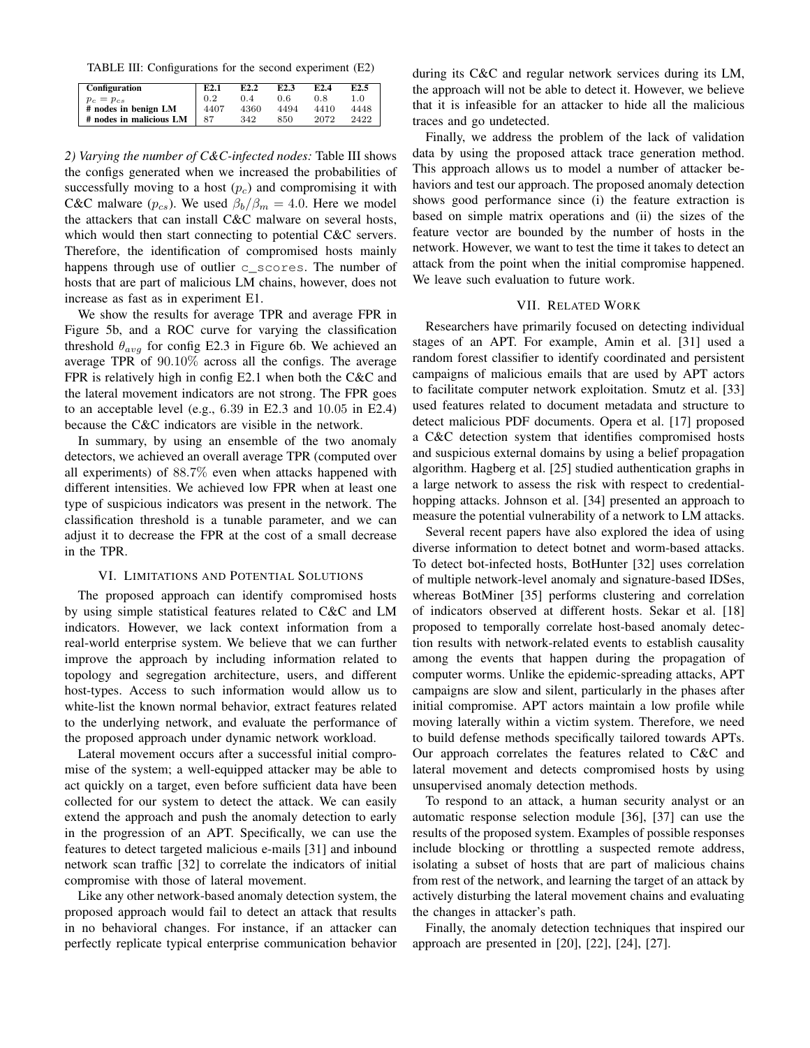TABLE III: Configurations for the second experiment (E2)

| <b>Configuration</b>    | E2.1 | E2.2 | E <sub>2.3</sub> | E <sub>2.4</sub> | E <sub>2.5</sub> |
|-------------------------|------|------|------------------|------------------|------------------|
| $p_c = p_{cs}$          | 0.2  | 0.4  | 0.6              | 0.8              | 1.0              |
| # nodes in benign LM    | 4407 | 4360 | 4494             | 4410             | 4448             |
| # nodes in malicious LM | 87   | 342  | 850              | 2072             | 2422             |

*2) Varying the number of C&C-infected nodes:* Table III shows the configs generated when we increased the probabilities of successfully moving to a host  $(p<sub>c</sub>)$  and compromising it with C&C malware ( $p_{cs}$ ). We used  $\beta_b/\beta_m = 4.0$ . Here we model the attackers that can install C&C malware on several hosts, which would then start connecting to potential C&C servers. Therefore, the identification of compromised hosts mainly happens through use of outlier c\_scores. The number of hosts that are part of malicious LM chains, however, does not increase as fast as in experiment E1.

We show the results for average TPR and average FPR in Figure 5b, and a ROC curve for varying the classification threshold  $\theta_{avg}$  for config E2.3 in Figure 6b. We achieved an average TPR of 90.10% across all the configs. The average FPR is relatively high in config E2.1 when both the C&C and the lateral movement indicators are not strong. The FPR goes to an acceptable level (e.g., 6.39 in E2.3 and 10.05 in E2.4) because the C&C indicators are visible in the network.

In summary, by using an ensemble of the two anomaly detectors, we achieved an overall average TPR (computed over all experiments) of 88.7% even when attacks happened with different intensities. We achieved low FPR when at least one type of suspicious indicators was present in the network. The classification threshold is a tunable parameter, and we can adjust it to decrease the FPR at the cost of a small decrease in the TPR.

#### VI. LIMITATIONS AND POTENTIAL SOLUTIONS

The proposed approach can identify compromised hosts by using simple statistical features related to C&C and LM indicators. However, we lack context information from a real-world enterprise system. We believe that we can further improve the approach by including information related to topology and segregation architecture, users, and different host-types. Access to such information would allow us to white-list the known normal behavior, extract features related to the underlying network, and evaluate the performance of the proposed approach under dynamic network workload.

Lateral movement occurs after a successful initial compromise of the system; a well-equipped attacker may be able to act quickly on a target, even before sufficient data have been collected for our system to detect the attack. We can easily extend the approach and push the anomaly detection to early in the progression of an APT. Specifically, we can use the features to detect targeted malicious e-mails [31] and inbound network scan traffic [32] to correlate the indicators of initial compromise with those of lateral movement.

Like any other network-based anomaly detection system, the proposed approach would fail to detect an attack that results in no behavioral changes. For instance, if an attacker can perfectly replicate typical enterprise communication behavior during its C&C and regular network services during its LM, the approach will not be able to detect it. However, we believe that it is infeasible for an attacker to hide all the malicious traces and go undetected.

Finally, we address the problem of the lack of validation data by using the proposed attack trace generation method. This approach allows us to model a number of attacker behaviors and test our approach. The proposed anomaly detection shows good performance since (i) the feature extraction is based on simple matrix operations and (ii) the sizes of the feature vector are bounded by the number of hosts in the network. However, we want to test the time it takes to detect an attack from the point when the initial compromise happened. We leave such evaluation to future work.

## VII. RELATED WORK

Researchers have primarily focused on detecting individual stages of an APT. For example, Amin et al. [31] used a random forest classifier to identify coordinated and persistent campaigns of malicious emails that are used by APT actors to facilitate computer network exploitation. Smutz et al. [33] used features related to document metadata and structure to detect malicious PDF documents. Opera et al. [17] proposed a C&C detection system that identifies compromised hosts and suspicious external domains by using a belief propagation algorithm. Hagberg et al. [25] studied authentication graphs in a large network to assess the risk with respect to credentialhopping attacks. Johnson et al. [34] presented an approach to measure the potential vulnerability of a network to LM attacks.

Several recent papers have also explored the idea of using diverse information to detect botnet and worm-based attacks. To detect bot-infected hosts, BotHunter [32] uses correlation of multiple network-level anomaly and signature-based IDSes, whereas BotMiner [35] performs clustering and correlation of indicators observed at different hosts. Sekar et al. [18] proposed to temporally correlate host-based anomaly detection results with network-related events to establish causality among the events that happen during the propagation of computer worms. Unlike the epidemic-spreading attacks, APT campaigns are slow and silent, particularly in the phases after initial compromise. APT actors maintain a low profile while moving laterally within a victim system. Therefore, we need to build defense methods specifically tailored towards APTs. Our approach correlates the features related to C&C and lateral movement and detects compromised hosts by using unsupervised anomaly detection methods.

To respond to an attack, a human security analyst or an automatic response selection module [36], [37] can use the results of the proposed system. Examples of possible responses include blocking or throttling a suspected remote address, isolating a subset of hosts that are part of malicious chains from rest of the network, and learning the target of an attack by actively disturbing the lateral movement chains and evaluating the changes in attacker's path.

Finally, the anomaly detection techniques that inspired our approach are presented in [20], [22], [24], [27].